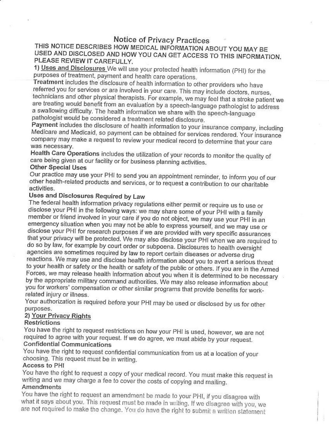# **Notice of Privacy Practices**

# THIS NOTICE DESCRIBES HOW MEDICAL INFORMATION ABOUT YOU MAY BE USED AND DISCLOSED AND HOW YOU CAN GET ACCESS TO THIS INFORMATION. PLEASE REVIEW IT CAREFULLY.

1) Uses and Disclosures We will use your protected health information (PHI) for the purposes of treatment, payment and health care operations.

Treatment includes the disclosure of health information to other providers who have referred you for services or are involved in your care. This may include doctors, nurses, technicians and other physical therapists. For example, we may feel that a stroke patient we are treating would benefit from an evaluation by a speech-language pathologist to address a swallowing difficulty. The health information we share with the speech-language pathologist would be considered a treatment related disclosure.

Payment includes the disclosure of health information to your insurance company, including Medicare and Medicaid, so payment can be obtained for services rendered. Your insurance company may make a request to review your medical record to determine that your care was necessary.

Health Care Operations includes the utilization of your records to monitor the quality of care being given at our facility or for business planning activities.

## **Other Special Uses**

Our practice may use your PHI to send you an appointment reminder, to inform you of our other health-related products and services, or to request a contribution to our charitable activities.

# Uses and Disclosures Required by Law

The federal health information privacy regulations either permit or require us to use or disclose your PHI in the following ways: we may share some of your PHI with a family member or friend involved in your care if you do not object, we may use your PHI in an emergency situation when you may not be able to express yourself, and we may use or disclose your PHI for research purposes if we are provided with very specific assurances that your privacy will be protected. We may also disclose your PHI when we are required to do so by law, for example by court order or subpoena. Disclosures to health oversight agencies are sometimes required by law to report certain diseases or adverse drug reactions. We may use and disclose health information about you to avert a serious threat to your health or safety or the health or safety of the public or others. If you are in the Armed Forces, we may release health information about you when it is determined to be necessary by the appropriate military command authorities. We may also release information about you for workers' compensation or other similar programs that provide benefits for workrelated injury or illness.

Your authorization is required before your PHI may be used or disclosed by us for other purposes.

# 2) Your Privacy Rights

#### **Restrictions**

You have the right to request restrictions on how your PHI is used, however, we are not required to agree with your request. If we do agree, we must abide by your request. **Confidential Communications** 

You have the right to request confidential communication from us at a location of your choosing. This request must be in writing.

#### Access to PHI

You have the right to request a copy of your medical record. You must make this request in writing and we may charge a fee to cover the costs of copying and mailing. Amendments

You have the right to request an amendment be made to your PHI, if you disagree with what it says about you. This request must be made in writing. If we disagree with you, we are not required to make the change. You do have the right to submit a written statement